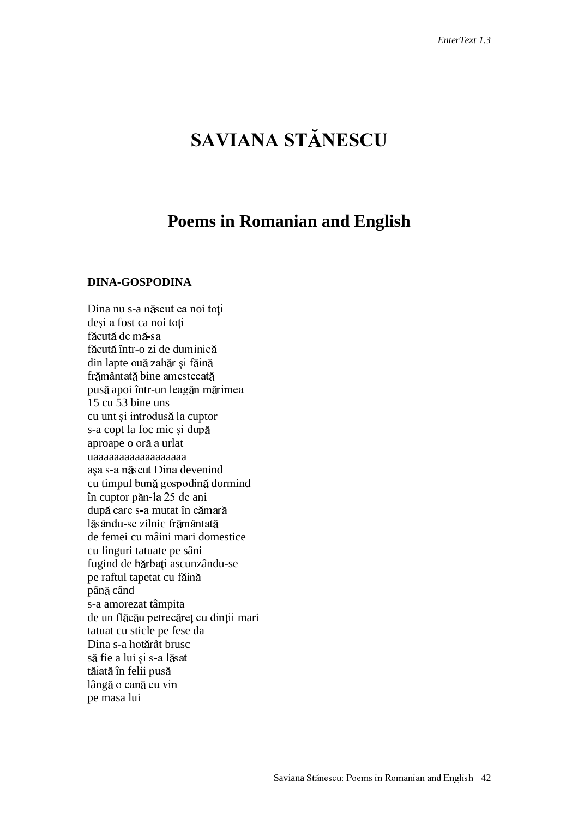# **SAVIANA STĂNESCU**

## **Poems in Romanian and English**

#### **DINA-GOSPODINA**

Dina nu s-a născut ca noi toți deși a fost ca noi toți f<mark>ăcută de mă-</mark>sa făcută într-o zi de duminică din lapte ouă zahăr și făin frământată bine amestecat pusă apoi într-un leagăn mărimea 15 cu 53 bine uns cu unt și introdusă la cuptor s-a copt la foc mic aproape o oră a urlat uaaaaaaaaaaaaaaaaaa așa s-a născut Dina devenind cu timpul bună gospodină dormind în cuptor păn-la 25 de ani după care s-a mutat în cămar lăsându-se zilnic frământat de femei cu mâini mari domestice cu linguri tatuate pe sâni fugind de bărbați ascunzându-se pe raftul tapetat cu până când s-a amorezat tâmpita de un flăcău petrecăreț cu dinții mari tatuat cu sticle pe fese da Dina s-a hotărât brusc să fie a lui și s-a lăsat tăiată în felii pus lângă o cană cu vin pe masa lui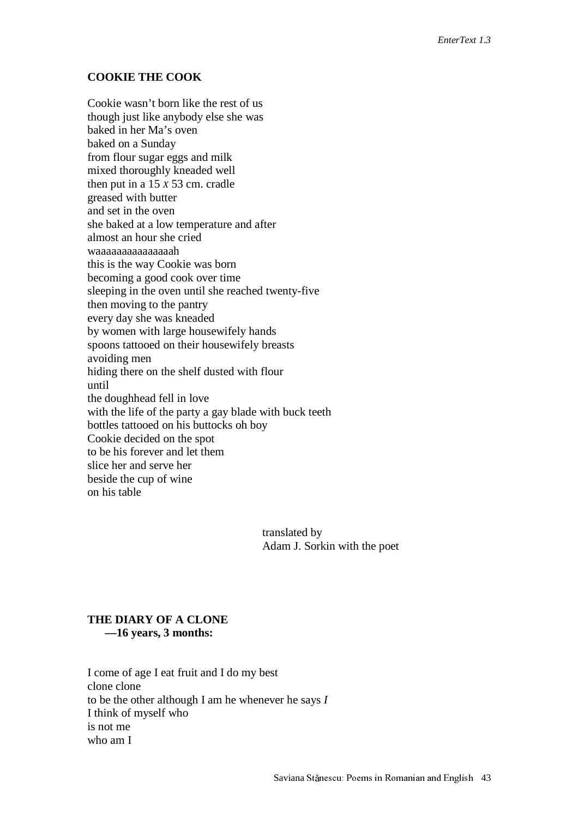#### **COOKIE THE COOK**

Cookie wasn't born like the rest of us though just like anybody else she was baked in her Ma's oven baked on a Sunday from flour sugar eggs and milk mixed thoroughly kneaded well then put in a 15 *X* 53 cm. cradle greased with butter and set in the oven she baked at a low temperature and after almost an hour she cried waaaaaaaaaaaaaaah this is the way Cookie was born becoming a good cook over time sleeping in the oven until she reached twenty-five then moving to the pantry every day she was kneaded by women with large housewifely hands spoons tattooed on their housewifely breasts avoiding men hiding there on the shelf dusted with flour until the doughhead fell in love with the life of the party a gay blade with buck teeth bottles tattooed on his buttocks oh boy Cookie decided on the spot to be his forever and let them slice her and serve her beside the cup of wine on his table

> translated by Adam J. Sorkin with the poet

### **THE DIARY OF A CLONE —16 years, 3 months:**

I come of age I eat fruit and I do my best clone clone to be the other although I am he whenever he says *I* I think of myself who is not me who am I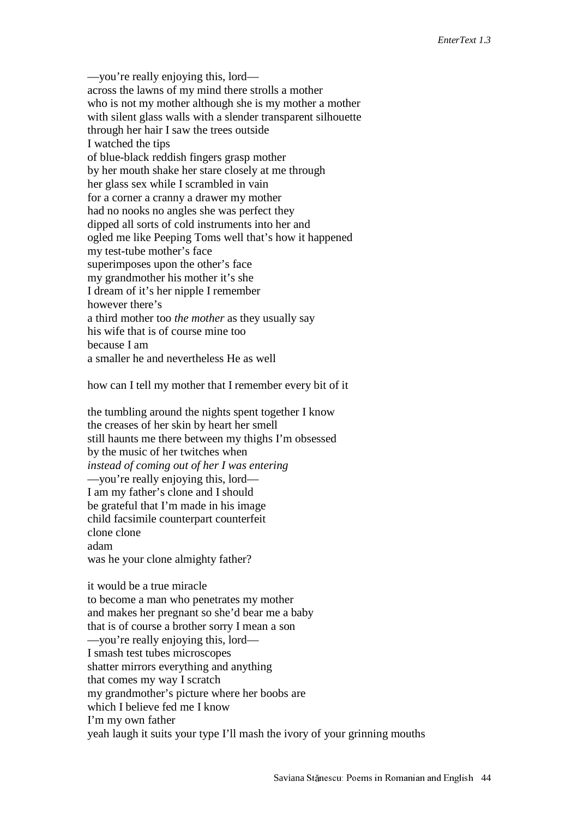—you're really enjoying this, lord across the lawns of my mind there strolls a mother who is not my mother although she is my mother a mother with silent glass walls with a slender transparent silhouette through her hair I saw the trees outside I watched the tips of blue-black reddish fingers grasp mother by her mouth shake her stare closely at me through her glass sex while I scrambled in vain for a corner a cranny a drawer my mother had no nooks no angles she was perfect they dipped all sorts of cold instruments into her and ogled me like Peeping Toms well that's how it happened my test-tube mother's face superimposes upon the other's face my grandmother his mother it's she I dream of it's her nipple I remember however there's a third mother too *the mother* as they usually say his wife that is of course mine too because I am a smaller he and nevertheless He as well

how can I tell my mother that I remember every bit of it

the tumbling around the nights spent together I know the creases of her skin by heart her smell still haunts me there between my thighs I'm obsessed by the music of her twitches when *instead of coming out of her I was entering* —you're really enjoying this, lord— I am my father's clone and I should be grateful that I'm made in his image child facsimile counterpart counterfeit clone clone adam was he your clone almighty father?

it would be a true miracle to become a man who penetrates my mother and makes her pregnant so she'd bear me a baby that is of course a brother sorry I mean a son —you're really enjoying this, lord— I smash test tubes microscopes shatter mirrors everything and anything that comes my way I scratch my grandmother's picture where her boobs are which I believe fed me I know I'm my own father yeah laugh it suits your type I'll mash the ivory of your grinning mouths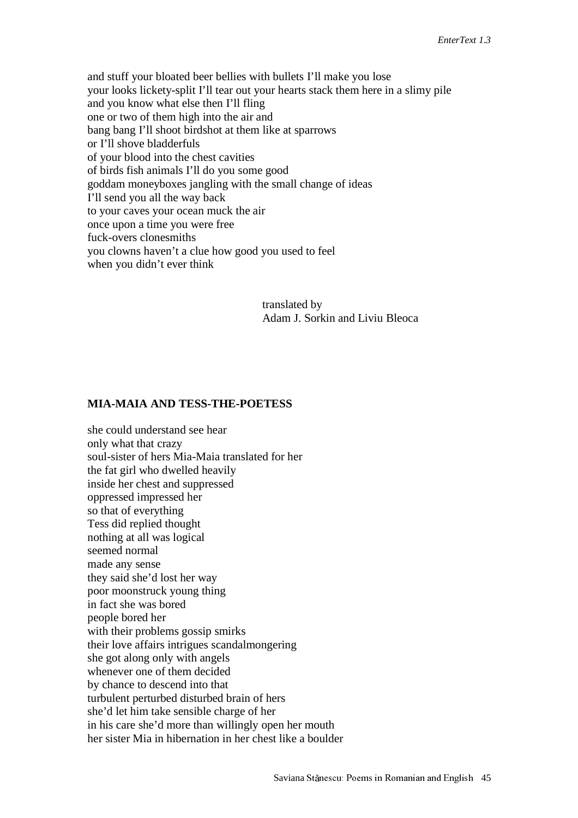and stuff your bloated beer bellies with bullets I'll make you lose your looks lickety-split I'll tear out your hearts stack them here in a slimy pile and you know what else then I'll fling one or two of them high into the air and bang bang I'll shoot birdshot at them like at sparrows or I'll shove bladderfuls of your blood into the chest cavities of birds fish animals I'll do you some good goddam moneyboxes jangling with the small change of ideas I'll send you all the way back to your caves your ocean muck the air once upon a time you were free fuck-overs clonesmiths you clowns haven't a clue how good you used to feel when you didn't ever think

> translated by Adam J. Sorkin and Liviu Bleoca

#### **MIA-MAIA AND TESS-THE-POETESS**

she could understand see hear only what that crazy soul-sister of hers Mia-Maia translated for her the fat girl who dwelled heavily inside her chest and suppressed oppressed impressed her so that of everything Tess did replied thought nothing at all was logical seemed normal made any sense they said she'd lost her way poor moonstruck young thing in fact she was bored people bored her with their problems gossip smirks their love affairs intrigues scandalmongering she got along only with angels whenever one of them decided by chance to descend into that turbulent perturbed disturbed brain of hers she'd let him take sensible charge of her in his care she'd more than willingly open her mouth her sister Mia in hibernation in her chest like a boulder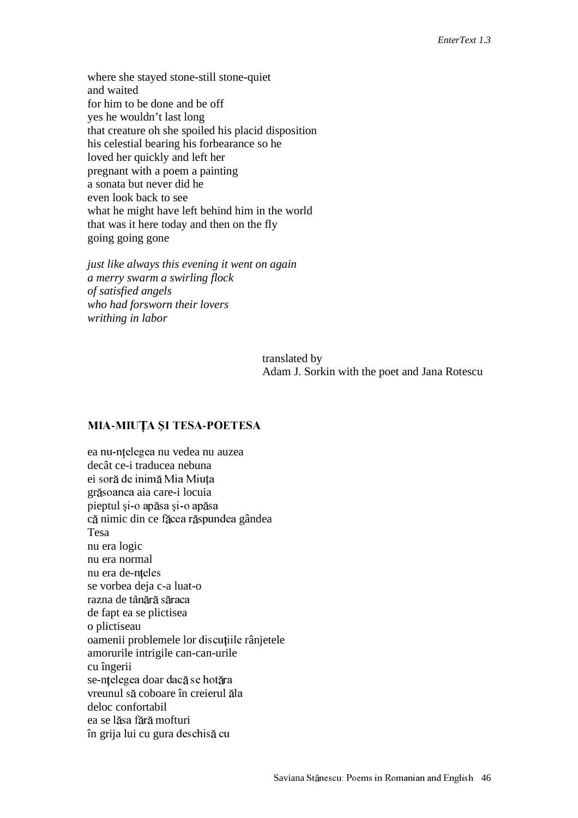where she stayed stone-still stone-quiet and waited for him to be done and be off yes he wouldn't last long that creature oh she spoiled his placid disposition his celestial bearing his forbearance so he loved her quickly and left her pregnant with a poem a painting a sonata but never did he even look back to see what he might have left behind him in the world that was it here today and then on the fly going going gone

*just like always this evening it went on again a merry swarm a swirling flock of satisfied angels who had forsworn their lovers writhing in labor*

> translated by Adam J. Sorkin with the poet and Jana Rotescu

### MIA-MIUȚA ȘI TESA-POETESA

ea nu-ntelegea nu vedea nu auzea decât ce-i traducea nebuna ei soră de inimă Mia Miuța grăsoanca aia care-i locuia pieptul și-o apăsa și-o apăsa că nimic din ce făcea răspundea gândea Tesa nu era logic nu era normal nu era de-nțeles se vorbea deja c-a luat-o razna de tân<mark>ără</mark> s<mark>ăr</mark>aca de fapt ea se plictisea o plictiseau oamenii problemele lor discuțiile rânjetele amorurile intrigile can-can-urile cu îngerii se-nțelegea doar dacă se hotăra vreunul să coboare în creierul ăla deloc confortabil ea se lăsa fără mofturi în grija lui cu gura deschisă cu